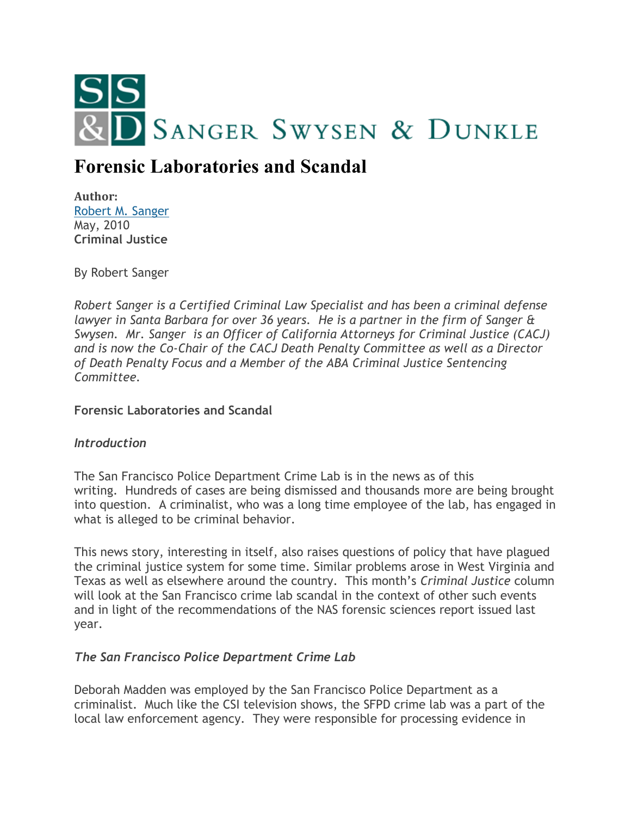

# **Forensic Laboratories and Scandal**

**Author:** [Robert M. Sanger](http://www.sangerswysen.com/robert-m-sanger) May, 2010 **Criminal Justice**

By Robert Sanger

*Robert Sanger is a Certified Criminal Law Specialist and has been a criminal defense lawyer in Santa Barbara for over 36 years. He is a partner in the firm of Sanger & Swysen. Mr. Sanger is an Officer of California Attorneys for Criminal Justice (CACJ) and is now the Co-Chair of the CACJ Death Penalty Committee as well as a Director of Death Penalty Focus and a Member of the ABA Criminal Justice Sentencing Committee.*

## **Forensic Laboratories and Scandal**

## *Introduction*

The San Francisco Police Department Crime Lab is in the news as of this writing. Hundreds of cases are being dismissed and thousands more are being brought into question. A criminalist, who was a long time employee of the lab, has engaged in what is alleged to be criminal behavior.

This news story, interesting in itself, also raises questions of policy that have plagued the criminal justice system for some time. Similar problems arose in West Virginia and Texas as well as elsewhere around the country. This month's *Criminal Justice* column will look at the San Francisco crime lab scandal in the context of other such events and in light of the recommendations of the NAS forensic sciences report issued last year.

## *The San Francisco Police Department Crime Lab*

Deborah Madden was employed by the San Francisco Police Department as a criminalist. Much like the CSI television shows, the SFPD crime lab was a part of the local law enforcement agency. They were responsible for processing evidence in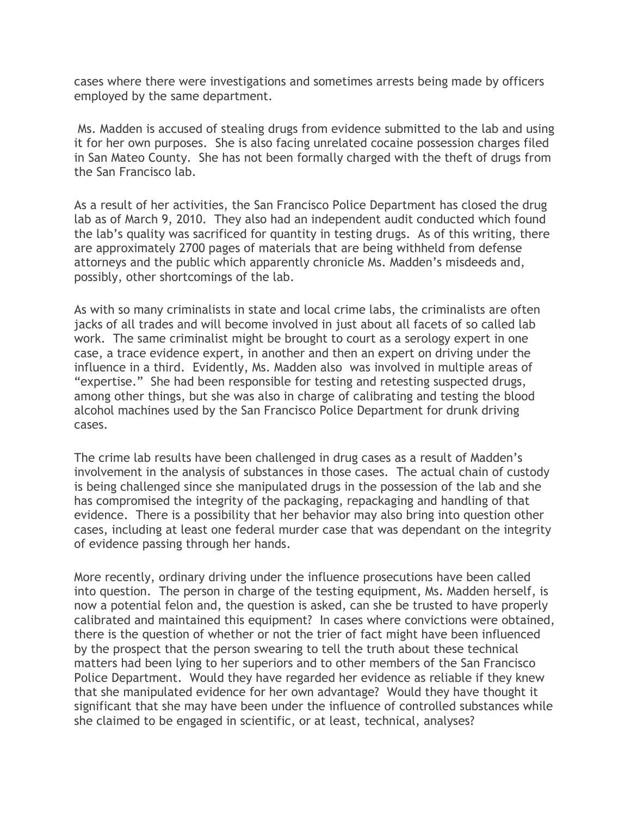cases where there were investigations and sometimes arrests being made by officers employed by the same department.

Ms. Madden is accused of stealing drugs from evidence submitted to the lab and using it for her own purposes. She is also facing unrelated cocaine possession charges filed in San Mateo County. She has not been formally charged with the theft of drugs from the San Francisco lab.

As a result of her activities, the San Francisco Police Department has closed the drug lab as of March 9, 2010. They also had an independent audit conducted which found the lab's quality was sacrificed for quantity in testing drugs. As of this writing, there are approximately 2700 pages of materials that are being withheld from defense attorneys and the public which apparently chronicle Ms. Madden's misdeeds and, possibly, other shortcomings of the lab.

As with so many criminalists in state and local crime labs, the criminalists are often jacks of all trades and will become involved in just about all facets of so called lab work. The same criminalist might be brought to court as a serology expert in one case, a trace evidence expert, in another and then an expert on driving under the influence in a third. Evidently, Ms. Madden also was involved in multiple areas of "expertise." She had been responsible for testing and retesting suspected drugs, among other things, but she was also in charge of calibrating and testing the blood alcohol machines used by the San Francisco Police Department for drunk driving cases.

The crime lab results have been challenged in drug cases as a result of Madden's involvement in the analysis of substances in those cases. The actual chain of custody is being challenged since she manipulated drugs in the possession of the lab and she has compromised the integrity of the packaging, repackaging and handling of that evidence. There is a possibility that her behavior may also bring into question other cases, including at least one federal murder case that was dependant on the integrity of evidence passing through her hands.

More recently, ordinary driving under the influence prosecutions have been called into question. The person in charge of the testing equipment, Ms. Madden herself, is now a potential felon and, the question is asked, can she be trusted to have properly calibrated and maintained this equipment? In cases where convictions were obtained, there is the question of whether or not the trier of fact might have been influenced by the prospect that the person swearing to tell the truth about these technical matters had been lying to her superiors and to other members of the San Francisco Police Department. Would they have regarded her evidence as reliable if they knew that she manipulated evidence for her own advantage? Would they have thought it significant that she may have been under the influence of controlled substances while she claimed to be engaged in scientific, or at least, technical, analyses?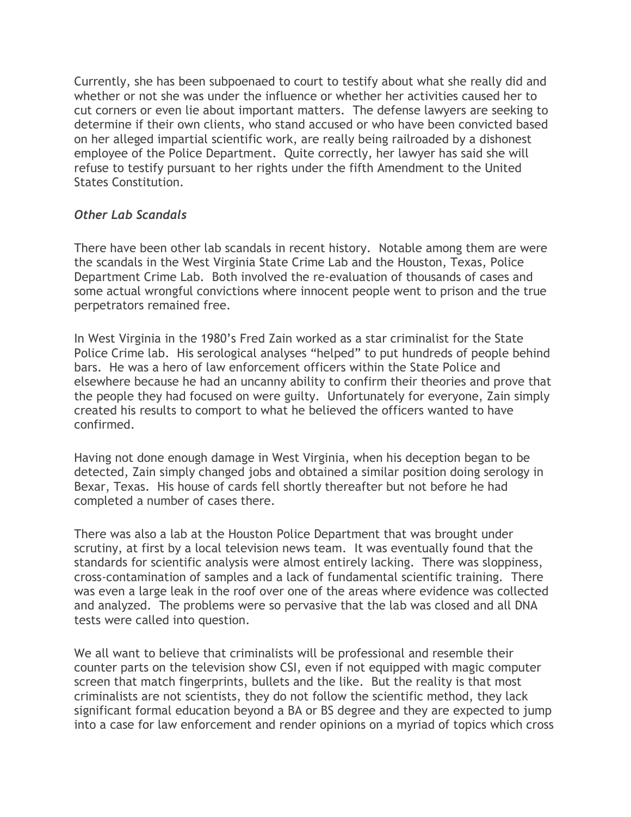Currently, she has been subpoenaed to court to testify about what she really did and whether or not she was under the influence or whether her activities caused her to cut corners or even lie about important matters. The defense lawyers are seeking to determine if their own clients, who stand accused or who have been convicted based on her alleged impartial scientific work, are really being railroaded by a dishonest employee of the Police Department. Quite correctly, her lawyer has said she will refuse to testify pursuant to her rights under the fifth Amendment to the United States Constitution.

### *Other Lab Scandals*

There have been other lab scandals in recent history. Notable among them are were the scandals in the West Virginia State Crime Lab and the Houston, Texas, Police Department Crime Lab. Both involved the re-evaluation of thousands of cases and some actual wrongful convictions where innocent people went to prison and the true perpetrators remained free.

In West Virginia in the 1980's Fred Zain worked as a star criminalist for the State Police Crime lab. His serological analyses "helped" to put hundreds of people behind bars. He was a hero of law enforcement officers within the State Police and elsewhere because he had an uncanny ability to confirm their theories and prove that the people they had focused on were guilty. Unfortunately for everyone, Zain simply created his results to comport to what he believed the officers wanted to have confirmed.

Having not done enough damage in West Virginia, when his deception began to be detected, Zain simply changed jobs and obtained a similar position doing serology in Bexar, Texas. His house of cards fell shortly thereafter but not before he had completed a number of cases there.

There was also a lab at the Houston Police Department that was brought under scrutiny, at first by a local television news team. It was eventually found that the standards for scientific analysis were almost entirely lacking. There was sloppiness, cross-contamination of samples and a lack of fundamental scientific training. There was even a large leak in the roof over one of the areas where evidence was collected and analyzed. The problems were so pervasive that the lab was closed and all DNA tests were called into question.

We all want to believe that criminalists will be professional and resemble their counter parts on the television show CSI, even if not equipped with magic computer screen that match fingerprints, bullets and the like. But the reality is that most criminalists are not scientists, they do not follow the scientific method, they lack significant formal education beyond a BA or BS degree and they are expected to jump into a case for law enforcement and render opinions on a myriad of topics which cross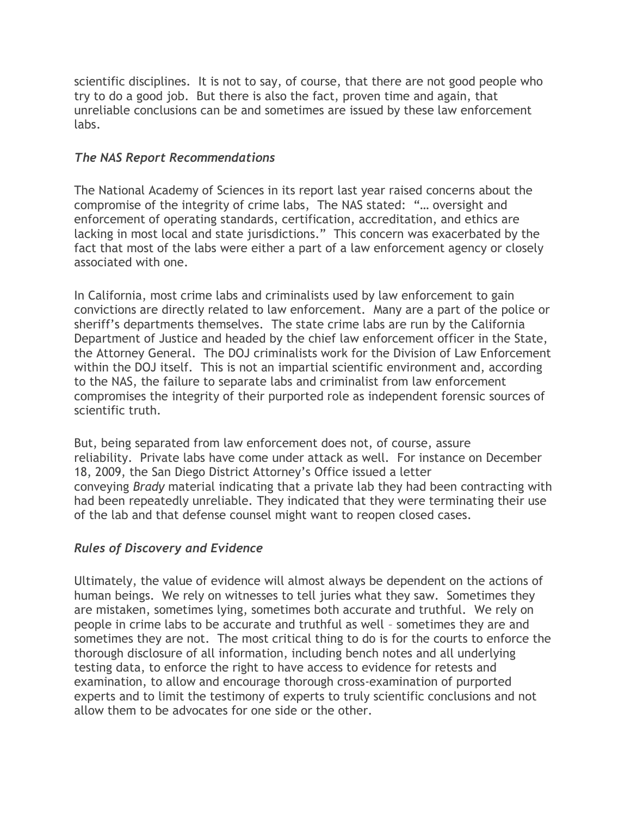scientific disciplines. It is not to say, of course, that there are not good people who try to do a good job. But there is also the fact, proven time and again, that unreliable conclusions can be and sometimes are issued by these law enforcement labs.

## *The NAS Report Recommendations*

The National Academy of Sciences in its report last year raised concerns about the compromise of the integrity of crime labs, The NAS stated: "… oversight and enforcement of operating standards, certification, accreditation, and ethics are lacking in most local and state jurisdictions." This concern was exacerbated by the fact that most of the labs were either a part of a law enforcement agency or closely associated with one.

In California, most crime labs and criminalists used by law enforcement to gain convictions are directly related to law enforcement. Many are a part of the police or sheriff's departments themselves. The state crime labs are run by the California Department of Justice and headed by the chief law enforcement officer in the State, the Attorney General. The DOJ criminalists work for the Division of Law Enforcement within the DOJ itself. This is not an impartial scientific environment and, according to the NAS, the failure to separate labs and criminalist from law enforcement compromises the integrity of their purported role as independent forensic sources of scientific truth.

But, being separated from law enforcement does not, of course, assure reliability. Private labs have come under attack as well. For instance on December 18, 2009, the San Diego District Attorney's Office issued a letter conveying *Brady* material indicating that a private lab they had been contracting with had been repeatedly unreliable. They indicated that they were terminating their use of the lab and that defense counsel might want to reopen closed cases.

## *Rules of Discovery and Evidence*

Ultimately, the value of evidence will almost always be dependent on the actions of human beings. We rely on witnesses to tell juries what they saw. Sometimes they are mistaken, sometimes lying, sometimes both accurate and truthful. We rely on people in crime labs to be accurate and truthful as well – sometimes they are and sometimes they are not. The most critical thing to do is for the courts to enforce the thorough disclosure of all information, including bench notes and all underlying testing data, to enforce the right to have access to evidence for retests and examination, to allow and encourage thorough cross-examination of purported experts and to limit the testimony of experts to truly scientific conclusions and not allow them to be advocates for one side or the other.